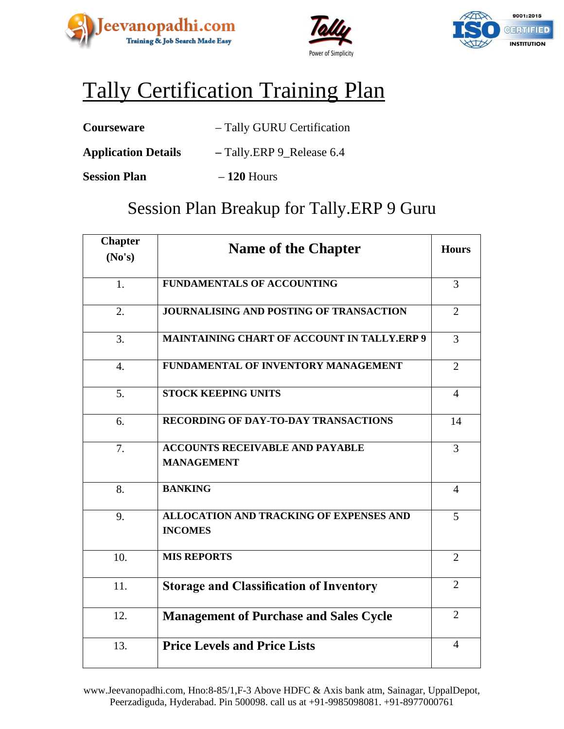





# Tally Certification Training Plan

| <b>Courseware</b> | - Tally GURU Certification |
|-------------------|----------------------------|
|-------------------|----------------------------|

- **Application Details –** Tally.ERP 9\_Release 6.4
- **Session Plan 120** Hours

### Session Plan Breakup for Tally.ERP 9 Guru

| <b>Chapter</b><br>No's) | <b>Name of the Chapter</b>                                       | <b>Hours</b>   |
|-------------------------|------------------------------------------------------------------|----------------|
| 1.                      | <b>FUNDAMENTALS OF ACCOUNTING</b>                                | 3              |
|                         |                                                                  |                |
| 2.                      | JOURNALISING AND POSTING OF TRANSACTION                          | $\overline{2}$ |
| 3.                      | <b>MAINTAINING CHART OF ACCOUNT IN TALLY.ERP 9</b>               | 3              |
| $\overline{4}$ .        | FUNDAMENTAL OF INVENTORY MANAGEMENT                              | $\overline{2}$ |
| 5.                      | <b>STOCK KEEPING UNITS</b>                                       | $\overline{4}$ |
| 6.                      | <b>RECORDING OF DAY-TO-DAY TRANSACTIONS</b>                      | 14             |
| 7.                      | <b>ACCOUNTS RECEIVABLE AND PAYABLE</b><br><b>MANAGEMENT</b>      | 3              |
| 8.                      | <b>BANKING</b>                                                   | $\overline{4}$ |
| 9.                      | <b>ALLOCATION AND TRACKING OF EXPENSES AND</b><br><b>INCOMES</b> | 5              |
| 10.                     | <b>MIS REPORTS</b>                                               | $\overline{2}$ |
| 11.                     | <b>Storage and Classification of Inventory</b>                   | $\overline{2}$ |
| 12.                     | <b>Management of Purchase and Sales Cycle</b>                    | $\overline{2}$ |
| 13.                     | <b>Price Levels and Price Lists</b>                              | $\overline{4}$ |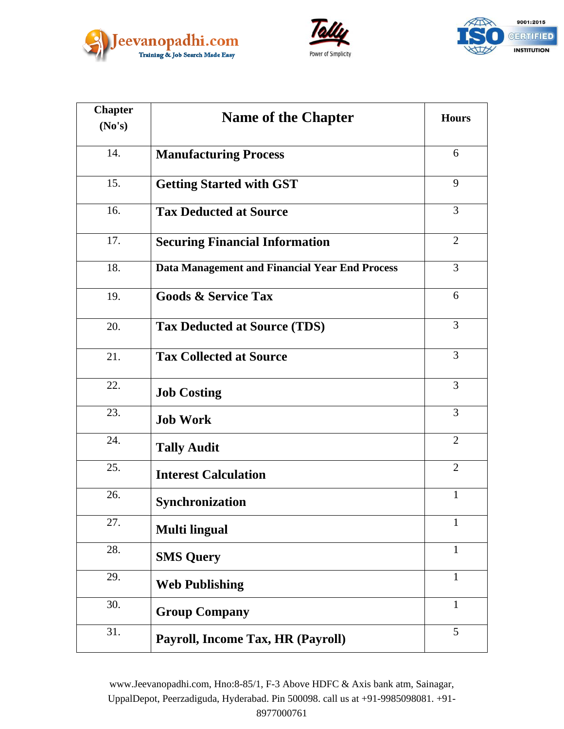





| <b>Chapter</b> | <b>Name of the Chapter</b>                     | <b>Hours</b>   |
|----------------|------------------------------------------------|----------------|
| No's)          |                                                |                |
| 14.            | <b>Manufacturing Process</b>                   | 6              |
| 15.            | <b>Getting Started with GST</b>                | 9              |
| 16.            | <b>Tax Deducted at Source</b>                  | 3              |
| 17.            | <b>Securing Financial Information</b>          | $\overline{2}$ |
| 18.            | Data Management and Financial Year End Process | 3              |
| 19.            | <b>Goods &amp; Service Tax</b>                 | 6              |
| 20.            | <b>Tax Deducted at Source (TDS)</b>            | $\overline{3}$ |
| 21.            | <b>Tax Collected at Source</b>                 | 3              |
| 22.            | <b>Job Costing</b>                             | $\overline{3}$ |
| 23.            | <b>Job Work</b>                                | $\overline{3}$ |
| 24.            | <b>Tally Audit</b>                             | 2              |
| 25.            | <b>Interest Calculation</b>                    | $\overline{2}$ |
| 26.            | <b>Synchronization</b>                         | $\mathbf{1}$   |
| 27.            | <b>Multi lingual</b>                           | $\mathbf{1}$   |
| 28.            | <b>SMS Query</b>                               | $\mathbf{1}$   |
| 29.            | <b>Web Publishing</b>                          | $\mathbf{1}$   |
| 30.            | <b>Group Company</b>                           | $\mathbf{1}$   |
| 31.            | Payroll, Income Tax, HR (Payroll)              | 5              |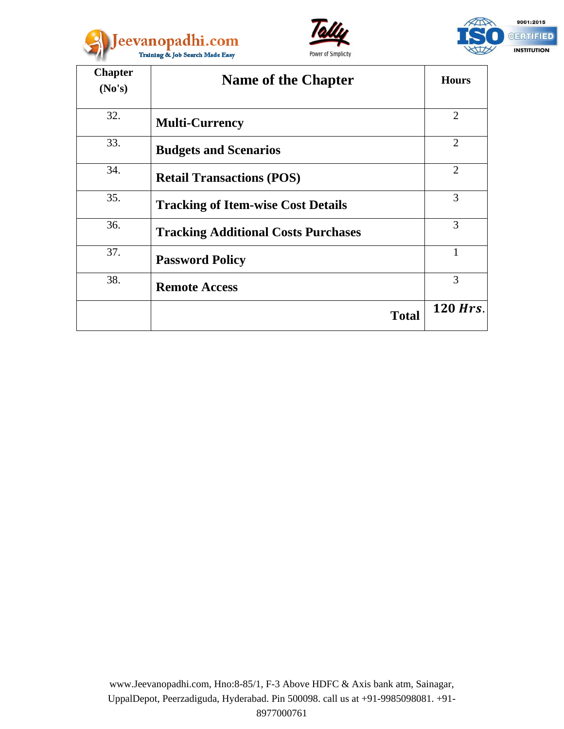





| <b>Chapter</b><br>No's) | <b>Name of the Chapter</b>                 | <b>Hours</b>   |
|-------------------------|--------------------------------------------|----------------|
|                         |                                            |                |
| 32.                     | <b>Multi-Currency</b>                      | $\overline{2}$ |
| 33.                     | <b>Budgets and Scenarios</b>               | $\overline{2}$ |
| 34.                     | <b>Retail Transactions (POS)</b>           | $\overline{2}$ |
| 35.                     | <b>Tracking of Item-wise Cost Details</b>  | 3              |
| 36.                     | <b>Tracking Additional Costs Purchases</b> | 3              |
| 37.                     | <b>Password Policy</b>                     | 1              |
| 38.                     | <b>Remote Access</b>                       | 3              |
|                         | <b>Total</b>                               | 120 Hrs.       |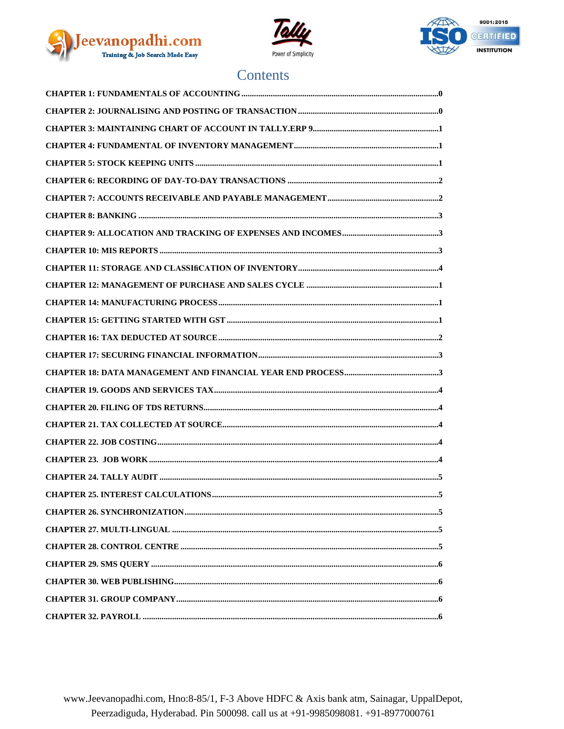





#### Contents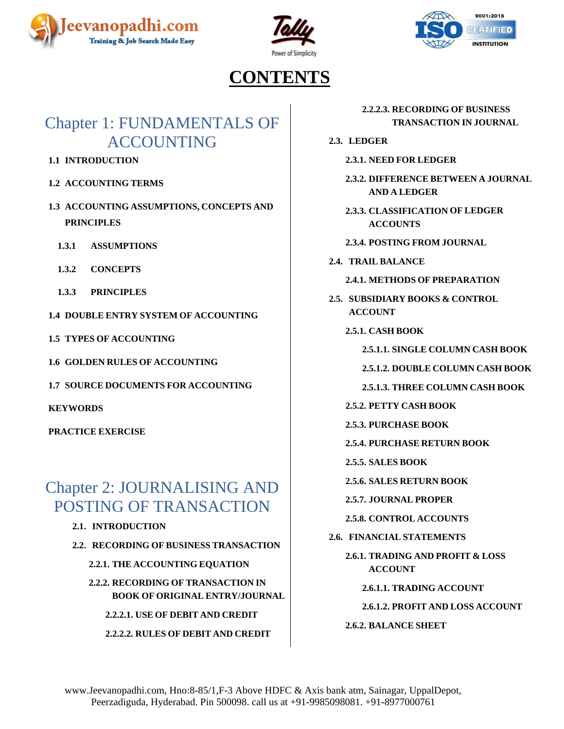





## **CONTENTS**

## <span id="page-4-0"></span>Chapter 1: FUNDAMENTALS OF ACCOUNTING

- **1.1 INTRODUCTION**
- **1.2 ACCOUNTING TERMS**
- **1.3 ACCOUNTING ASSUMPTIONS, CONCEPTS AND PRINCIPLES**
	- **1.3.1 ASSUMPTIONS**
	- **1.3.2 CONCEPTS**
	- **1.3.3 PRINCIPLES**
- **1.4 DOUBLE ENTRY SYSTEM OF ACCOUNTING**
- **1.5 TYPES OF ACCOUNTING**
- **1.6 GOLDEN RULES OF ACCOUNTING**
- **1.7 SOURCE DOCUMENTS FOR ACCOUNTING**

**KEYWORDS**

**PRACTICE EXERCISE**

### <span id="page-4-1"></span>Chapter 2: JOURNALISING AND POSTING OF TRANSACTION

- **2.1. INTRODUCTION**
- **2.2. RECORDING OF BUSINESS TRANSACTION**
	- **2.2.1. THE ACCOUNTING EQUATION**
	- **2.2.2. RECORDING OF TRANSACTION IN BOOK OF ORIGINAL ENTRY/JOURNAL**

**2.2.2.1. USE OF DEBIT AND CREDIT**

**2.2.2.2. RULES OF DEBIT AND CREDIT**

**2.2.2.3. RECORDING OF BUSINESS TRANSACTION IN JOURNAL**

- **2.3. LEDGER**
	- **2.3.1. NEED FOR LEDGER**
	- **2.3.2. DIFFERENCE BETWEEN A JOURNAL AND A LEDGER**
	- **2.3.3. CLASSIFICATION OF LEDGER ACCOUNTS**
	- **2.3.4. POSTING FROM JOURNAL**
- **2.4. TRAIL BALANCE**
	- **2.4.1. METHODS OF PREPARATION**
- **2.5. SUBSIDIARY BOOKS & CONTROL ACCOUNT**
	- **2.5.1. CASH BOOK**

**2.5.1.1. SINGLE COLUMN CASH BOOK**

- **2.5.1.2. DOUBLE COLUMN CASH BOOK**
- **2.5.1.3. THREE COLUMN CASH BOOK**
- **2.5.2. PETTY CASH BOOK**
- **2.5.3. PURCHASE BOOK**
- **2.5.4. PURCHASE RETURN BOOK**
- **2.5.5. SALES BOOK**
- **2.5.6. SALES RETURN BOOK**
- **2.5.7. JOURNAL PROPER**
- **2.5.8. CONTROL ACCOUNTS**
- **2.6. FINANCIAL STATEMENTS**
	- **2.6.1. TRADING AND PROFIT & LOSS ACCOUNT**
		- **2.6.1.1. TRADING ACCOUNT**
		- **2.6.1.2. PROFIT AND LOSS ACCOUNT**
	- **2.6.2. BALANCE SHEET**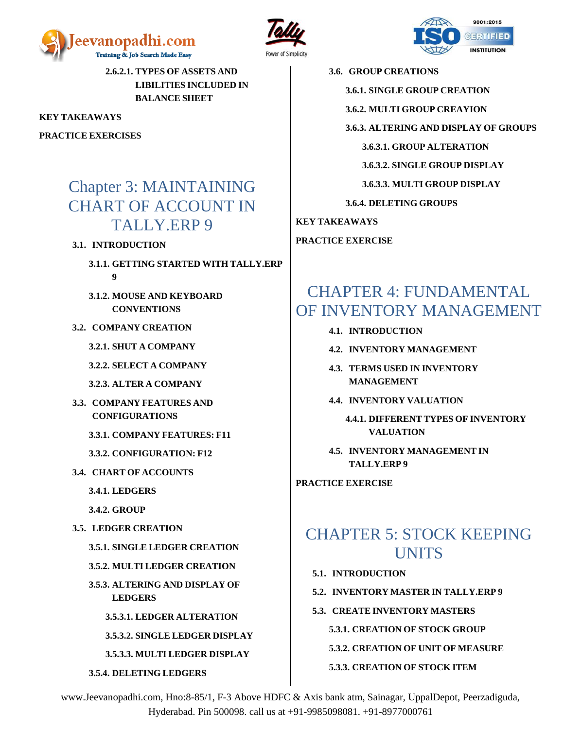





**2.6.2.1. TYPES OF ASSETS AND LIBILITIES INCLUDED IN BALANCE SHEET**

**KEY TAKEAWAYS**

**PRACTICE EXERCISES**

### <span id="page-5-0"></span>Chapter 3: MAINTAINING CHART OF ACCOUNT IN TALLY.ERP 9

#### **3.1. INTRODUCTION**

- **3.1.1. GETTING STARTED WITH TALLY.ERP 9**
- **3.1.2. MOUSE AND KEYBOARD CONVENTIONS**
- **3.2. COMPANY CREATION**
	- **3.2.1. SHUT A COMPANY**
	- **3.2.2. SELECT A COMPANY**
	- **3.2.3. ALTER A COMPANY**
- **3.3. COMPANY FEATURES AND CONFIGURATIONS**
	- **3.3.1. COMPANY FEATURES: F11**
	- **3.3.2. CONFIGURATION: F12**
- **3.4. CHART OF ACCOUNTS**
	- **3.4.1. LEDGERS**
	- **3.4.2. GROUP**
- **3.5. LEDGER CREATION**
	- **3.5.1. SINGLE LEDGER CREATION**
	- **3.5.2. MULTI LEDGER CREATION**
	- **3.5.3. ALTERING AND DISPLAY OF LEDGERS**
		- **3.5.3.1. LEDGER ALTERATION**
		- **3.5.3.2. SINGLE LEDGER DISPLAY**
		- **3.5.3.3. MULTI LEDGER DISPLAY**
	- **3.5.4. DELETING LEDGERS**

**3.6. GROUP CREATIONS**

- **3.6.1. SINGLE GROUP CREATION**
- **3.6.2. MULTI GROUP CREAYION**

**3.6.3. ALTERING AND DISPLAY OF GROUPS**

**3.6.3.1. GROUP ALTERATION**

**3.6.3.2. SINGLE GROUP DISPLAY**

**3.6.3.3. MULTI GROUP DISPLAY**

**3.6.4. DELETING GROUPS**

**KEY TAKEAWAYS**

**PRACTICE EXERCISE**

### <span id="page-5-1"></span>CHAPTER 4: FUNDAMENTAL OF INVENTORY MANAGEMENT

- **4.1. INTRODUCTION**
- **4.2. INVENTORY MANAGEMENT**
- **4.3. TERMS USED IN INVENTORY MANAGEMENT**
- **4.4. INVENTORY VALUATION**
	- **4.4.1. DIFFERENT TYPES OF INVENTORY VALUATION**
- **4.5. INVENTORY MANAGEMENT IN TALLY.ERP 9**

**PRACTICE EXERCISE**

### <span id="page-5-2"></span>CHAPTER 5: STOCK KEEPING **UNITS**

- **5.1. INTRODUCTION**
- **5.2. INVENTORY MASTER IN TALLY.ERP 9**
- **5.3. CREATE INVENTORY MASTERS**

**5.3.1. CREATION OF STOCK GROUP** 

- **5.3.2. CREATION OF UNIT OF MEASURE**
- **5.3.3. CREATION OF STOCK ITEM**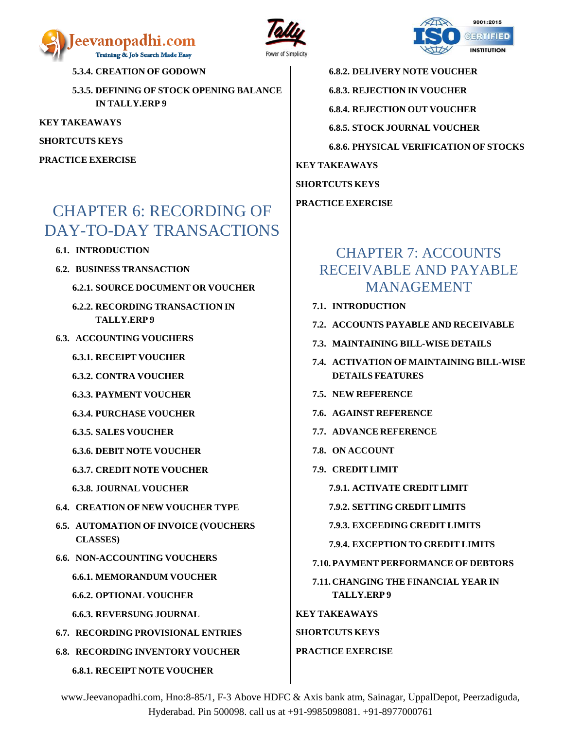





**6.8.2. DELIVERY NOTE VOUCHER 6.8.3. REJECTION IN VOUCHER 6.8.4. REJECTION OUT VOUCHER 6.8.5. STOCK JOURNAL VOUCHER 6.8.6. PHYSICAL VERIFICATION OF STOCKS KEY TAKEAWAYS SHORTCUTS KEYS**

**PRACTICE EXERCISE**

#### <span id="page-6-1"></span>CHAPTER 7: ACCOUNTS RECEIVABLE AND PAYABLE MANAGEMENT

- **7.1. INTRODUCTION**
- **7.2. ACCOUNTS PAYABLE AND RECEIVABLE**
- **7.3. MAINTAINING BILL-WISE DETAILS**
- **7.4. ACTIVATION OF MAINTAINING BILL-WISE DETAILS FEATURES**
- **7.5. NEW REFERENCE**
- **7.6. AGAINST REFERENCE**
- **7.7. ADVANCE REFERENCE**
- **7.8. ON ACCOUNT**
- **7.9. CREDIT LIMIT**
	- **7.9.1. ACTIVATE CREDIT LIMIT**
	- **7.9.2. SETTING CREDIT LIMITS**

**7.9.3. EXCEEDING CREDIT LIMITS**

- **7.9.4. EXCEPTION TO CREDIT LIMITS**
- **7.10. PAYMENT PERFORMANCE OF DEBTORS**

**7.11. CHANGING THE FINANCIAL YEAR IN TALLY.ERP 9**

**KEY TAKEAWAYS SHORTCUTS KEYS**

#### **PRACTICE EXERCISE**

www.Jeevanopadhi.com, Hno:8-85/1, F-3 Above HDFC & Axis bank atm, Sainagar, UppalDepot, Peerzadiguda, Hyderabad. Pin 500098. call us at +91-9985098081. +91-8977000761

**5.3.4. CREATION OF GODOWN**

**5.3.5. DEFINING OF STOCK OPENING BALANCE IN TALLY.ERP 9**

**KEY TAKEAWAYS**

**SHORTCUTS KEYS**

**PRACTICE EXERCISE**

## <span id="page-6-0"></span>CHAPTER 6: RECORDING OF DAY-TO-DAY TRANSACTIONS

- **6.1. INTRODUCTION**
- **6.2. BUSINESS TRANSACTION**
	- **6.2.1. SOURCE DOCUMENT OR VOUCHER**
	- **6.2.2. RECORDING TRANSACTION IN TALLY.ERP 9**
- **6.3. ACCOUNTING VOUCHERS**
	- **6.3.1. RECEIPT VOUCHER**
	- **6.3.2. CONTRA VOUCHER**
	- **6.3.3. PAYMENT VOUCHER**
	- **6.3.4. PURCHASE VOUCHER**
	- **6.3.5. SALES VOUCHER**
	- **6.3.6. DEBIT NOTE VOUCHER**
	- **6.3.7. CREDIT NOTE VOUCHER**
	- **6.3.8. JOURNAL VOUCHER**
- **6.4. CREATION OF NEW VOUCHER TYPE**
- **6.5. AUTOMATION OF INVOICE (VOUCHERS CLASSES)**
- **6.6. NON-ACCOUNTING VOUCHERS**
	- **6.6.1. MEMORANDUM VOUCHER**
	- **6.6.2. OPTIONAL VOUCHER**
	- **6.6.3. REVERSUNG JOURNAL**
- **6.7. RECORDING PROVISIONAL ENTRIES**
- **6.8. RECORDING INVENTORY VOUCHER 6.8.1. RECEIPT NOTE VOUCHER**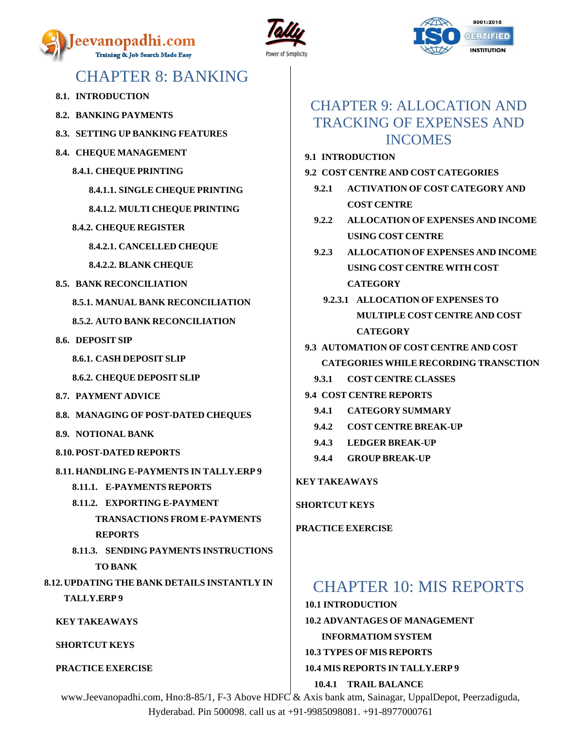





### CHAPTER 8: BANKING

- <span id="page-7-0"></span>**8.1. INTRODUCTION**
- **8.2. BANKING PAYMENTS**
- **8.3. SETTING UP BANKING FEATURES**
- **8.4. CHEQUE MANAGEMENT**
	- **8.4.1. CHEQUE PRINTING**

**8.4.1.1. SINGLE CHEQUE PRINTING**

**8.4.1.2. MULTI CHEQUE PRINTING**

- **8.4.2. CHEQUE REGISTER**
	- **8.4.2.1. CANCELLED CHEQUE**
	- **8.4.2.2. BLANK CHEQUE**
- **8.5. BANK RECONCILIATION**
	- **8.5.1. MANUAL BANK RECONCILIATION**

**8.5.2. AUTO BANK RECONCILIATION**

- **8.6. DEPOSIT SIP**
	- **8.6.1. CASH DEPOSIT SLIP**
	- **8.6.2. CHEQUE DEPOSIT SLIP**
- **8.7. PAYMENT ADVICE**
- **8.8. MANAGING OF POST-DATED CHEQUES**
- **8.9. NOTIONAL BANK**
- **8.10. POST-DATED REPORTS**
- **8.11. HANDLING E-PAYMENTS IN TALLY.ERP 9**
	- **8.11.1. E-PAYMENTS REPORTS**
	- **8.11.2. EXPORTING E-PAYMENT TRANSACTIONS FROM E-PAYMENTS REPORTS**
	- **8.11.3. SENDING PAYMENTS INSTRUCTIONS TO BANK**

**8.12. UPDATING THE BANK DETAILS INSTANTLY IN TALLY.ERP 9**

**KEY TAKEAWAYS**

**SHORTCUT KEYS**

**PRACTICE EXERCISE**

#### <span id="page-7-1"></span>CHAPTER 9: ALLOCATION AND TRACKING OF EXPENSES AND INCOMES

- **9.1 INTRODUCTION**
- **9.2 COST CENTRE AND COST CATEGORIES**
	- **9.2.1 ACTIVATION OF COST CATEGORY AND COST CENTRE**
	- **9.2.2 ALLOCATION OF EXPENSES AND INCOME USING COST CENTRE**
	- **9.2.3 ALLOCATION OF EXPENSES AND INCOME USING COST CENTRE WITH COST CATEGORY**
		- **9.2.3.1 ALLOCATION OF EXPENSES TO MULTIPLE COST CENTRE AND COST CATEGORY**
- **9.3 AUTOMATION OF COST CENTRE AND COST CATEGORIES WHILE RECORDING TRANSCTION**
	- **9.3.1 COST CENTRE CLASSES**
- **9.4 COST CENTRE REPORTS**
	- **9.4.1 CATEGORY SUMMARY**
	- **9.4.2 COST CENTRE BREAK-UP**
	- **9.4.3 LEDGER BREAK-UP**
	- **9.4.4 GROUP BREAK-UP**

#### **KEY TAKEAWAYS**

**SHORTCUT KEYS**

**PRACTICE EXERCISE**

### <span id="page-7-2"></span>CHAPTER 10: MIS REPORTS

**10.1 INTRODUCTION 10.2 ADVANTAGES OF MANAGEMENT INFORMATIOM SYSTEM 10.3 TYPES OF MIS REPORTS 10.4 MIS REPORTS IN TALLY.ERP 9 10.4.1 TRAIL BALANCE**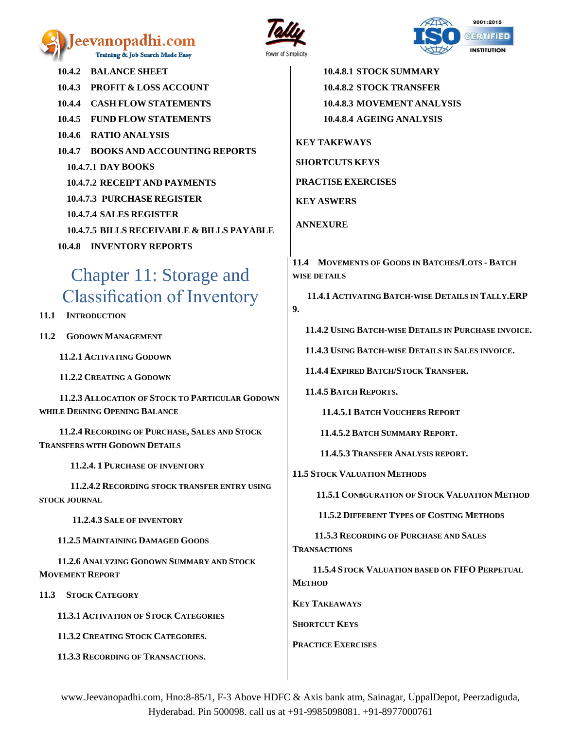#### eevanopadhi.com Training & Job Search Made Easy





**10.4.2 BALANCE SHEET 10.4.3 PROFIT & LOSS ACCOUNT 10.4.4 CASH FLOW STATEMENTS 10.4.5 FUND FLOW STATEMENTS 10.4.6 RATIO ANALYSIS 10.4.7 BOOKS AND ACCOUNTING REPORTS 10.4.7.1 DAY BOOKS 10.4.7.2 RECEIPT AND PAYMENTS 10.4.7.3 PURCHASE REGISTER 10.4.7.4 SALES REGISTER 10.4.7.5 BILLS RECEIVABLE & BILLS PAYABLE 10.4.8 INVENTORY REPORTS**

## <span id="page-8-0"></span>Chapter 11: Storage and Classification of Inventory

**11.1 INTRODUCTION** 

**11.2 GODOWN MANAGEMENT**

 **11.2.1 ACTIVATING GODOWN** 

 **11.2.2 CREATING A GODOWN** 

 **11.2.3 ALLOCATION OF STOCK TO PARTICULAR GODOWN WHILE DEfiNING OPENING BALANCE**

 **11.2.4 RECORDING OF PURCHASE, SALES AND STOCK TRANSFERS WITH GODOWN DETAILS** 

 **11.2.4. 1 PURCHASE OF INVENTORY**

 **11.2.4.2 RECORDING STOCK TRANSFER ENTRY USING STOCK JOURNAL** 

 **11.2.4.3 SALE OF INVENTORY** 

 **11.2.5 MAINTAINING DAMAGED GOODS**

 **11.2.6 ANALYZING GODOWN SUMMARY AND STOCK MOVEMENT REPORT** 

**11.3 STOCK CATEGORY** 

 **11.3.1 ACTIVATION OF STOCK CATEGORIES** 

 **11.3.2 CREATING STOCK CATEGORIES.**

 **11.3.3 RECORDING OF TRANSACTIONS.**

**10.4.8.1 STOCK SUMMARY 10.4.8.2 STOCK TRANSFER 10.4.8.3 MOVEMENT ANALYSIS 10.4.8.4 AGEING ANALYSIS**

**KEY TAKEWAYS SHORTCUTS KEYS PRACTISE EXERCISES KEY ASWERS ANNEXURE**

**11.4 MOVEMENTS OF GOODS IN BATCHES/LOTS - BATCH WISE DETAILS**

 **11.4.1 ACTIVATING BATCH-WISE DETAILS IN TALLY.ERP 9.**

 **11.4.2 USING BATCH-WISE DETAILS IN PURCHASE INVOICE.**

 **11.4.3 USING BATCH-WISE DETAILS IN SALES INVOICE.**

 **11.4.4 EXPIRED BATCH/STOCK TRANSFER.**

 **11.4.5 BATCH REPORTS.**

 **11.4.5.1 BATCH VOUCHERS REPORT**

 **11.4.5.2 BATCH SUMMARY REPORT.**

 **11.4.5.3 TRANSFER ANALYSIS REPORT.**

**11.5 STOCK VALUATION METHODS**

 **11.5.1 CONfiGURATION OF STOCK VALUATION METHOD** 

 **11.5.2 DIFFERENT TYPES OF COSTING METHODS**

 **11.5.3 RECORDING OF PURCHASE AND SALES TRANSACTIONS** 

 **11.5.4 STOCK VALUATION BASED ON FIFO PERPETUAL METHOD** 

**KEY TAKEAWAYS**

**SHORTCUT KEYS**

**PRACTICE EXERCISES**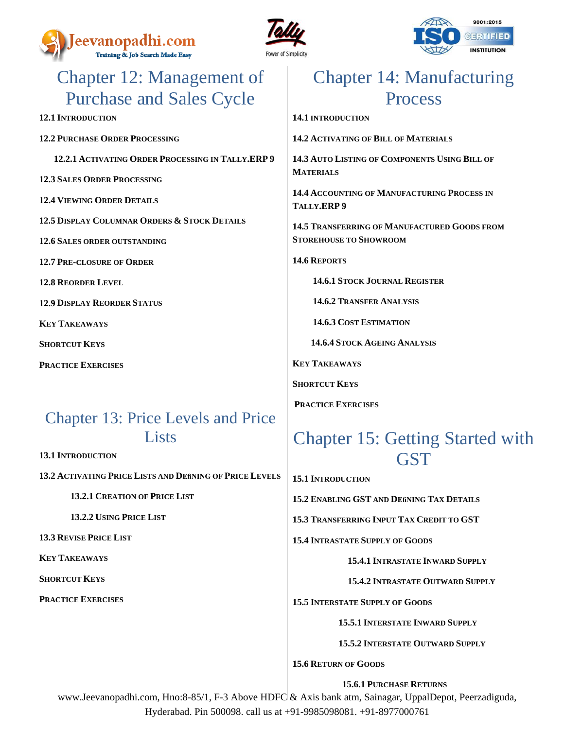





## <span id="page-9-0"></span>Chapter 12: Management of Purchase and Sales Cycle

**12.1 INTRODUCTION**

**12.2 PURCHASE ORDER PROCESSING** 

 **12.2.1 ACTIVATING ORDER PROCESSING IN TALLY.ERP 9**

- **12.3 SALES ORDER PROCESSING**
- **12.4 VIEWING ORDER DETAILS**
- **12.5 DISPLAY COLUMNAR ORDERS & STOCK DETAILS**
- **12.6 SALES ORDER OUTSTANDING**
- **12.7 PRE-CLOSURE OF ORDER**
- **12.8 REORDER LEVEL**
- **12.9 DISPLAY REORDER STATUS**

**KEY TAKEAWAYS**

**SHORTCUT KEYS**

**PRACTICE EXERCISES**

### Chapter 13: Price Levels and Price **Lists**

**13.1 INTRODUCTION**

**13.2 ACTIVATING PRICE LISTS AND DEfiNING OF PRICE LEVELS**

 **13.2.1 CREATION OF PRICE LIST** 

 **13.2.2 USING PRICE LIST**

**13.3 REVISE PRICE LIST** 

**KEY TAKEAWAYS** 

**SHORTCUT KEYS**

**PRACTICE EXERCISES**

## <span id="page-9-1"></span>Chapter 14: Manufacturing Process

**14.1 INTRODUCTION**

**14.2 ACTIVATING OF BILL OF MATERIALS** 

**14.3 AUTO LISTING OF COMPONENTS USING BILL OF MATERIALS** 

**14.4 ACCOUNTING OF MANUFACTURING PROCESS IN TALLY.ERP 9**

**14.5 TRANSFERRING OF MANUFACTURED GOODS FROM STOREHOUSE TO SHOWROOM** 

**14.6 REPORTS**

 **14.6.1 STOCK JOURNAL REGISTER**

 **14.6.2 TRANSFER ANALYSIS**

 **14.6.3 COST ESTIMATION**

 **14.6.4 STOCK AGEING ANALYSIS** 

**KEY TAKEAWAYS** 

**SHORTCUT KEYS**

**PRACTICE EXERCISES**

## <span id="page-9-2"></span>Chapter 15: Getting Started with **GST**

**15.1 INTRODUCTION**

**15.2 ENABLING GST AND DEfiNING TAX DETAILS**

**15.3 TRANSFERRING INPUT TAX CREDIT TO GST**

**15.4 INTRASTATE SUPPLY OF GOODS**

 **15.4.1 INTRASTATE INWARD SUPPLY** 

 **15.4.2 INTRASTATE OUTWARD SUPPLY**

**15.5 INTERSTATE SUPPLY OF GOODS** 

 **15.5.1 INTERSTATE INWARD SUPPLY** 

 **15.5.2 INTERSTATE OUTWARD SUPPLY** 

**15.6 RETURN OF GOODS** 

 **15.6.1 PURCHASE RETURNS**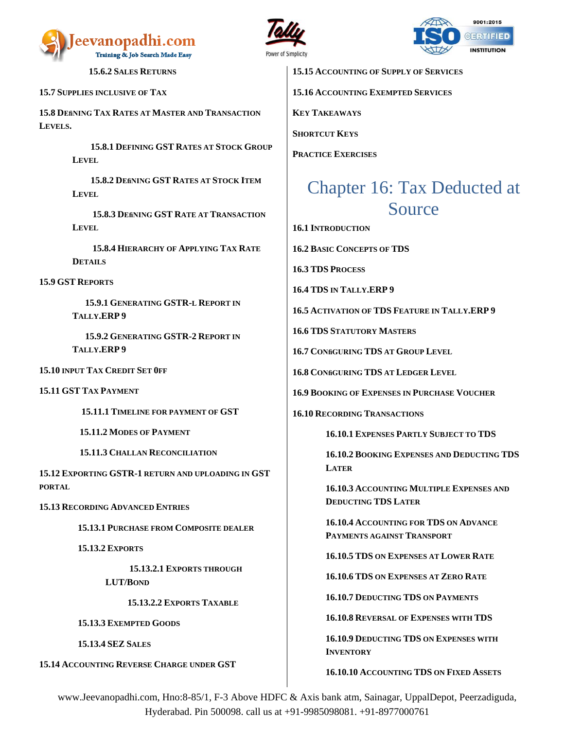





 **15.6.2 SALES RETURNS**

**15.7 SUPPLIES INCLUSIVE OF TAX**

**15.8 DEfiNING TAX RATES AT MASTER AND TRANSACTION LEVELS.**

> **15.8.1 DEFINING GST RATES AT STOCK GROUP LEVEL**

 **15.8.2 DEfiNING GST RATES AT STOCK ITEM LEVEL**

 **15.8.3 DEfiNING GST RATE AT TRANSACTION LEVEL** 

 **15.8.4 HIERARCHY OF APPLYING TAX RATE DETAILS** 

**15.9 GST REPORTS** 

 **15.9.1 GENERATING GSTR-L REPORT IN TALLY.ERP 9**

 **15.9.2 GENERATING GSTR-2 REPORT IN TALLY.ERP 9**

**15.10 INPUT TAX CREDIT SET 0FF**

**15.11 GST TAX PAYMENT**

 **15.11.1 TIMELINE FOR PAYMENT OF GST**

 **15.11.2 MODES OF PAYMENT** 

 **15.11.3 CHALLAN RECONCILIATION** 

**15.12 EXPORTING GSTR-1 RETURN AND UPLOADING IN GST PORTAL**

**15.13 RECORDING ADVANCED ENTRIES** 

 **15.13.1 PURCHASE FROM COMPOSITE DEALER**

 **15.13.2 EXPORTS** 

 **15.13.2.1 EXPORTS THROUGH LUT/BOND**

 **15.13.2.2 EXPORTS TAXABLE** 

 **15.13.3 EXEMPTED GOODS**

 **15.13.4 SEZ SALES**

**15.14 ACCOUNTING REVERSE CHARGE UNDER GST**

**15.15 ACCOUNTING OF SUPPLY OF SERVICES** 

**15.16 ACCOUNTING EXEMPTED SERVICES**

**KEY TAKEAWAYS**

**SHORTCUT KEYS** 

**PRACTICE EXERCISES**

## <span id="page-10-0"></span>Chapter 16: Tax Deducted at Source

**16.1 INTRODUCTION**

**16.2 BASIC CONCEPTS OF TDS**

**16.3 TDS PROCESS** 

**16.4 TDS IN TALLY.ERP 9**

**16.5 ACTIVATION OF TDS FEATURE IN TALLY.ERP 9**

**16.6 TDS STATUTORY MASTERS** 

**16.7 CONfiGURING TDS AT GROUP LEVEL**

**16.8 CONfiGURING TDS AT LEDGER LEVEL** 

**16.9 BOOKING OF EXPENSES IN PURCHASE VOUCHER**

**16.10 RECORDING TRANSACTIONS** 

**16.10.1 EXPENSES PARTLY SUBJECT TO TDS**

**16.10.2 BOOKING EXPENSES AND DEDUCTING TDS LATER**

**16.10.3 ACCOUNTING MULTIPLE EXPENSES AND DEDUCTING TDS LATER**

**16.10.4 ACCOUNTING FOR TDS ON ADVANCE PAYMENTS AGAINST TRANSPORT**

**16.10.5 TDS ON EXPENSES AT LOWER RATE**

**16.10.6 TDS ON EXPENSES AT ZERO RATE**

**16.10.7 DEDUCTING TDS ON PAYMENTS** 

**16.10.8 REVERSAL OF EXPENSES WITH TDS**

**16.10.9 DEDUCTING TDS ON EXPENSES WITH INVENTORY**

**16.10.10 ACCOUNTING TDS ON FIXED ASSETS**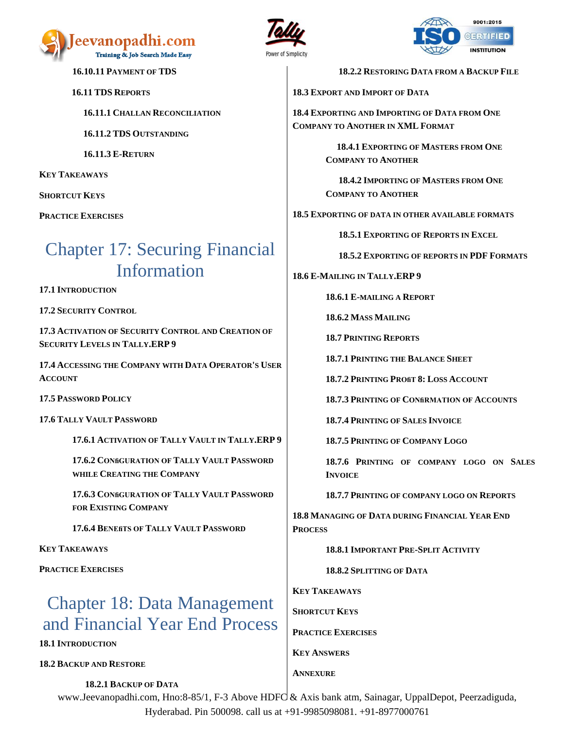

**16.11 TDS REPORTS** 

 **16.11.3 E-RETURN**

**16.10.11 PAYMENT OF TDS**

 **16.11.1 CHALLAN RECONCILIATION**

 **16.11.2 TDS OUTSTANDING**



 **18.2.2 RESTORING DATA FROM A BACKUP FILE**

**18.3 EXPORT AND IMPORT OF DATA** 

**18.4 EXPORTING AND IMPORTING OF DATA FROM ONE COMPANY TO ANOTHER IN XML FORMAT**

> **18.4.1 EXPORTING OF MASTERS FROM ONE COMPANY TO ANOTHER**

> **18.4.2 IMPORTING OF MASTERS FROM ONE COMPANY TO ANOTHER**

**18.5 EXPORTING OF DATA IN OTHER AVAILABLE FORMATS**

 **18.5.1 EXPORTING OF REPORTS IN EXCEL**

 **18.5.2 EXPORTING OF REPORTS IN PDF FORMATS**

**18.6 E-MAILING IN TALLY.ERP 9**

**18.6.1 E-MAILING A REPORT**

**18.6.2 MASS MAILING**

**18.7 PRINTING REPORTS**

**18.7.1 PRINTING THE BALANCE SHEET**

**18.7.2 PRINTING PROfiT 8: LOSS ACCOUNT**

**18.7.3 PRINTING OF CONfiRMATION OF ACCOUNTS**

**18.7.4 PRINTING OF SALES INVOICE**

**18.7.5 PRINTING OF COMPANY LOGO**

**18.7.6 PRINTING OF COMPANY LOGO ON SALES INVOICE**

**18.7.7 PRINTING OF COMPANY LOGO ON REPORTS**

**18.8 MANAGING OF DATA DURING FINANCIAL YEAR END PROCESS**

**18.8.1 IMPORTANT PRE-SPLIT ACTIVITY**

**18.8.2 SPLITTING OF DATA** 

**KEY TAKEAWAYS** 

**SHORTCUT KEYS**

**PRACTICE EXERCISES**

**KEY ANSWERS**

**ANNEXURE**

www.Jeevanopadhi.com, Hno:8-85/1, F-3 Above HDFC & Axis bank atm, Sainagar, UppalDepot, Peerzadiguda, Hyderabad. Pin 500098. call us at +91-9985098081. +91-8977000761

**KEY TAKEAWAYS**

**SHORTCUT KEYS** 

**PRACTICE EXERCISES**

## <span id="page-11-0"></span>Chapter 17: Securing Financial Information

**17.1 INTRODUCTION**

**17.2 SECURITY CONTROL**

**17.3 ACTIVATION OF SECURITY CONTROL AND CREATION OF SECURITY LEVELS IN TALLY.ERP 9**

**17.4 ACCESSING THE COMPANY WITH DATA OPERATOR'S USER ACCOUNT**

**17.5 PASSWORD POLICY**

**17.6 TALLY VAULT PASSWORD**

**17.6.1 ACTIVATION OF TALLY VAULT IN TALLY.ERP 9**

**17.6.2 CONfiGURATION OF TALLY VAULT PASSWORD WHILE CREATING THE COMPANY**

**17.6.3 CONfiGURATION OF TALLY VAULT PASSWORD FOR EXISTING COMPANY** 

**17.6.4 BENEfiTS OF TALLY VAULT PASSWORD** 

**KEY TAKEAWAYS** 

**PRACTICE EXERCISES**

# <span id="page-11-1"></span>Chapter 18: Data Management and Financial Year End Process

**18.1 INTRODUCTION**

**18.2 BACKUP AND RESTORE** 

 **18.2.1 BACKUP OF DATA**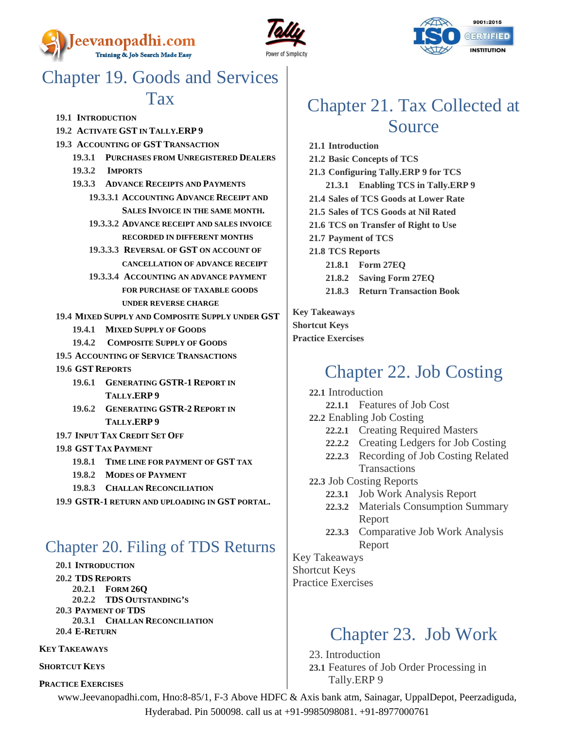





## <span id="page-12-0"></span>Chapter 19. Goods and Services **Tax**

- **19.1 INTRODUCTION**
- **19.2 ACTIVATE GST IN TALLY.ERP 9**
- **19.3 ACCOUNTING OF GST TRANSACTION**
	- **19.3.1 PURCHASES FROM UNREGISTERED DEALERS**
	- **19.3.2 IMPORTS**
	- **19.3.3 ADVANCE RECEIPTS AND PAYMENTS**
		- **19.3.3.1 ACCOUNTING ADVANCE RECEIPT AND SALES INVOICE IN THE SAME MONTH.**
		- **19.3.3.2 ADVANCE RECEIPT AND SALES INVOICE RECORDED IN DIFFERENT MONTHS**
		- **19.3.3.3 REVERSAL OF GST ON ACCOUNT OF CANCELLATION OF ADVANCE RECEIPT**
		- **19.3.3.4 ACCOUNTING AN ADVANCE PAYMENT FOR PURCHASE OF TAXABLE GOODS UNDER REVERSE CHARGE**
- **19.4 MIXED SUPPLY AND COMPOSITE SUPPLY UNDER GST**
	- **19.4.1 MIXED SUPPLY OF GOODS**
	- **19.4.2 COMPOSITE SUPPLY OF GOODS**
- **19.5 ACCOUNTING OF SERVICE TRANSACTIONS**
- **19.6 GST REPORTS**
	- **19.6.1 GENERATING GSTR-1 REPORT IN TALLY.ERP 9**
	- **19.6.2 GENERATING GSTR-2 REPORT IN TALLY.ERP 9**
- **19.7 INPUT TAX CREDIT SET OFF**
- **19.8 GST TAX PAYMENT**
	- **19.8.1 TIME LINE FOR PAYMENT OF GST TAX**
	- **19.8.2 MODES OF PAYMENT**
	- **19.8.3 CHALLAN RECONCILIATION**
- **19.9 GSTR-1 RETURN AND UPLOADING IN GST PORTAL.**

### <span id="page-12-1"></span>Chapter 20. Filing of TDS Returns

- **20.1 INTRODUCTION**
- **20.2 TDS REPORTS**
- **20.2.1 FORM 26Q**
- **20.2.2 TDS OUTSTANDING'S**
- **20.3 PAYMENT OF TDS**
- **20.3.1 CHALLAN RECONCILIATION 20.4 E-RETURN**
- 

#### **KEY TAKEAWAYS**

#### **SHORTCUT KEYS**

**PRACTICE EXERCISES**

## <span id="page-12-2"></span>Chapter 21. Tax Collected at Source

**21.1 Introduction 21.2 Basic Concepts of TCS 21.3 Configuring Tally.ERP 9 for TCS 21.3.1 Enabling TCS in Tally.ERP 9 21.4 Sales of TCS Goods at Lower Rate 21.5 Sales of TCS Goods at Nil Rated 21.6 TCS on Transfer of Right to Use 21.7 Payment of TCS 21.8 TCS Reports 21.8.1 Form 27EQ 21.8.2 Saving Form 27EQ 21.8.3 Return Transaction Book**

**Key Takeaways Shortcut Keys Practice Exercises**

## <span id="page-12-3"></span>Chapter 22. Job Costing

- **22.1** Introduction
	- **22.1.1** Features of Job Cost
- **22.2** Enabling Job Costing
	- **22.2.1** Creating Required Masters
	- **22.2.2** Creating Ledgers for Job Costing
	- **22.2.3** Recording of Job Costing Related Transactions
- **22.3** Job Costing Reports
	- **22.3.1** Job Work Analysis Report
	- **22.3.2** Materials Consumption Summary Report
	- **22.3.3** Comparative Job Work Analysis Report

Key Takeaways Shortcut Keys Practice Exercises

## <span id="page-12-4"></span>Chapter 23. Job Work

23. Introduction **23.1** Features of Job Order Processing in

Tally.ERP 9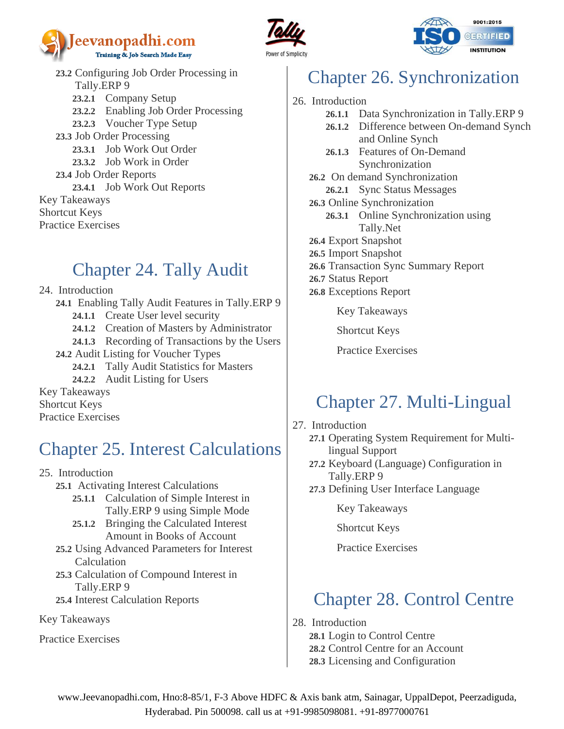





**23.2** Configuring Job Order Processing in Tally.ERP 9 **23.2.1** Company Setup **23.2.2** Enabling Job Order Processing **23.2.3** Voucher Type Setup **23.3** Job Order Processing **23.3.1** Job Work Out Order **23.3.2** Job Work in Order **23.4** Job Order Reports **23.4.1** Job Work Out Reports Key Takeaways Shortcut Keys Practice Exercises

## <span id="page-13-0"></span>Chapter 24. Tally Audit

- 24. Introduction
	- **24.1** Enabling Tally Audit Features in Tally.ERP 9
		- **24.1.1** Create User level security
		- **24.1.2** Creation of Masters by Administrator
	- **24.1.3** Recording of Transactions by the Users **24.2** Audit Listing for Voucher Types
		- **24.2.1** Tally Audit Statistics for Masters
		- **24.2.2** Audit Listing for Users

Key Takeaways Shortcut Keys Practice Exercises

# <span id="page-13-1"></span>Chapter 25. Interest Calculations

- 25. Introduction
	- **25.1** Activating Interest Calculations
		- **25.1.1** Calculation of Simple Interest in Tally.ERP 9 using Simple Mode
		- **25.1.2** Bringing the Calculated Interest Amount in Books of Account
	- **25.2** Using Advanced Parameters for Interest Calculation
	- **25.3** Calculation of Compound Interest in Tally.ERP 9
	- **25.4** Interest Calculation Reports

Key Takeaways

Practice Exercises

# <span id="page-13-2"></span>Chapter 26. Synchronization

- 26. Introduction
	- **26.1.1** Data Synchronization in Tally.ERP 9
	- **26.1.2** Difference between On-demand Synch and Online Synch
	- **26.1.3** Features of On-Demand Synchronization
	- **26.2** On demand Synchronization **26.2.1** Sync Status Messages
	- **26.3** Online Synchronization
		- **26.3.1** Online Synchronization using Tally.Net
	- **26.4** Export Snapshot
	- **26.5** Import Snapshot
	- **26.6** Transaction Sync Summary Report
	- **26.7** Status Report
	- **26.8** Exceptions Report

Key Takeaways

Shortcut Keys

Practice Exercises

## <span id="page-13-3"></span>Chapter 27. Multi-Lingual

- 27. Introduction
	- **27.1** Operating System Requirement for Multilingual Support
	- **27.2** Keyboard (Language) Configuration in Tally.ERP 9
	- **27.3** Defining User Interface Language

Key Takeaways

Shortcut Keys

Practice Exercises

## <span id="page-13-4"></span>Chapter 28. Control Centre

28. Introduction

**28.1** Login to Control Centre

**28.2** Control Centre for an Account

**28.3** Licensing and Configuration